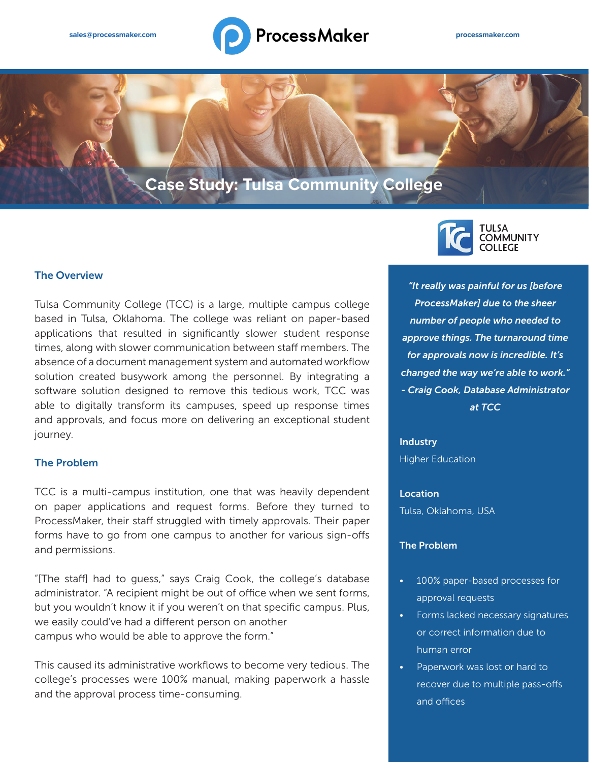# sales@processmaker.com **processmaker.com processmaker.com processmaker.com**

# **Case Study: Tulsa Community College**

## The Overview

Tulsa Community College (TCC) is a large, multiple campus college based in Tulsa, Oklahoma. The college was reliant on paper-based applications that resulted in significantly slower student response times, along with slower communication between staff members. The absence of a document management system and automated workflow solution created busywork among the personnel. By integrating a software solution designed to remove this tedious work, TCC was able to digitally transform its campuses, speed up response times and approvals, and focus more on delivering an exceptional student journey.

#### The Problem

TCC is a multi-campus institution, one that was heavily dependent on paper applications and request forms. Before they turned to ProcessMaker, their staff struggled with timely approvals. Their paper forms have to go from one campus to another for various sign-offs and permissions.

"[The staff] had to guess," says Craig Cook, the college's database administrator. "A recipient might be out of office when we sent forms, but you wouldn't know it if you weren't on that specific campus. Plus, we easily could've had a different person on another campus who would be able to approve the form."

This caused its administrative workflows to become very tedious. The college's processes were 100% manual, making paperwork a hassle and the approval process time-consuming.



*"It really was painful for us [before ProcessMaker] due to the sheer number of people who needed to approve things. The turnaround time for approvals now is incredible. It's changed the way we're able to work." - Craig Cook, Database Administrator at TCC*

**Industry** Higher Education

Location Tulsa, Oklahoma, USA

#### The Problem

- 100% paper-based processes for approval requests
- Forms lacked necessary signatures or correct information due to human error
- Paperwork was lost or hard to recover due to multiple pass-offs and offices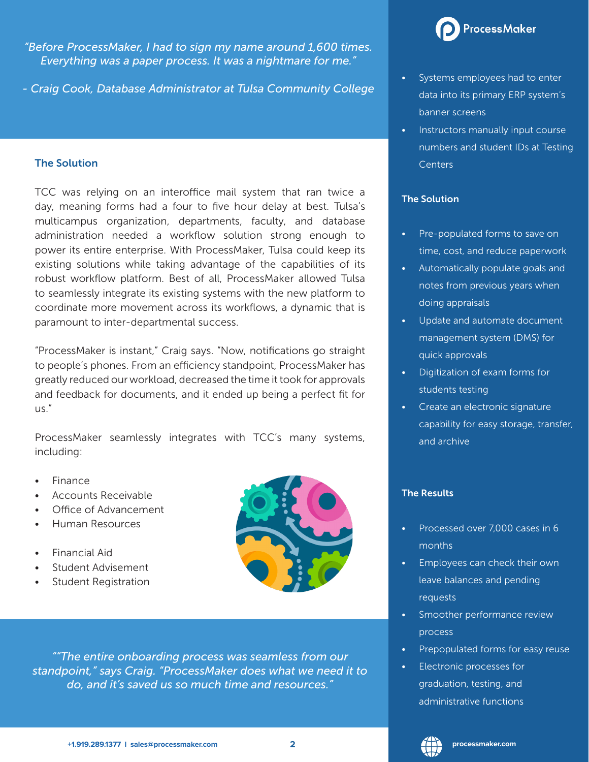*"Before ProcessMaker, I had to sign my name around 1,600 times. Everything was a paper process. It was a nightmare for me."* 

*- Craig Cook, Database Administrator at Tulsa Community College*

#### The Solution

TCC was relying on an interoffice mail system that ran twice a day, meaning forms had a four to five hour delay at best. Tulsa's multicampus organization, departments, faculty, and database administration needed a workflow solution strong enough to power its entire enterprise. With ProcessMaker, Tulsa could keep its existing solutions while taking advantage of the capabilities of its robust workflow platform. Best of all, ProcessMaker allowed Tulsa to seamlessly integrate its existing systems with the new platform to coordinate more movement across its workflows, a dynamic that is paramount to inter-departmental success.

"ProcessMaker is instant," Craig says. "Now, notifications go straight to people's phones. From an efficiency standpoint, ProcessMaker has greatly reduced our workload, decreased the time it took for approvals and feedback for documents, and it ended up being a perfect fit for us."

ProcessMaker seamlessly integrates with TCC's many systems, including:

- Finance
- Accounts Receivable
- Office of Advancement
- Human Resources
- Financial Aid
- Student Advisement
- Student Registration



*""The entire onboarding process was seamless from our standpoint," says Craig. "ProcessMaker does what we need it to do, and it's saved us so much time and resources."*



- Systems employees had to enter data into its primary ERP system's banner screens
- Instructors manually input course numbers and student IDs at Testing Centers

# The Solution

- Pre-populated forms to save on time, cost, and reduce paperwork
- Automatically populate goals and notes from previous years when doing appraisals
- Update and automate document management system (DMS) for quick approvals
- Digitization of exam forms for students testing
- Create an electronic signature capability for easy storage, transfer, and archive

#### The Results

- Processed over 7,000 cases in 6 months
- Employees can check their own leave balances and pending requests
- Smoother performance review process
- Prepopulated forms for easy reuse
- Electronic processes for graduation, testing, and administrative functions